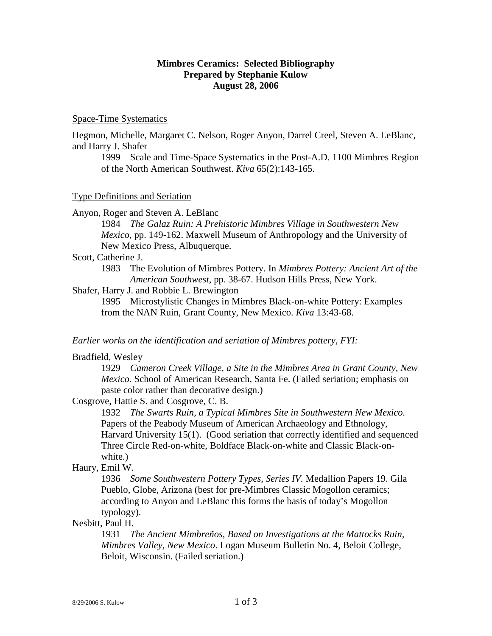# **Mimbres Ceramics: Selected Bibliography Prepared by Stephanie Kulow August 28, 2006**

#### Space-Time Systematics

Hegmon, Michelle, Margaret C. Nelson, Roger Anyon, Darrel Creel, Steven A. LeBlanc, and Harry J. Shafer

 1999 Scale and Time-Space Systematics in the Post-A.D. 1100 Mimbres Region of the North American Southwest. *Kiva* 65(2):143-165.

#### Type Definitions and Seriation

Anyon, Roger and Steven A. LeBlanc

1984 *The Galaz Ruin: A Prehistoric Mimbres Village in Southwestern New Mexico*, pp. 149-162. Maxwell Museum of Anthropology and the University of New Mexico Press, Albuquerque.

Scott, Catherine J.

1983 The Evolution of Mimbres Pottery. In *Mimbres Pottery: Ancient Art of the American Southwest*, pp. 38-67. Hudson Hills Press, New York.

# Shafer, Harry J. and Robbie L. Brewington

1995 Microstylistic Changes in Mimbres Black-on-white Pottery: Examples from the NAN Ruin, Grant County, New Mexico. *Kiva* 13:43-68.

#### *Earlier works on the identification and seriation of Mimbres pottery, FYI:*

#### Bradfield, Wesley

1929 *Cameron Creek Village, a Site in the Mimbres Area in Grant County, New Mexico.* School of American Research, Santa Fe. (Failed seriation; emphasis on paste color rather than decorative design.)

Cosgrove, Hattie S. and Cosgrove, C. B.

1932 *The Swarts Ruin, a Typical Mimbres Site in Southwestern New Mexico.* Papers of the Peabody Museum of American Archaeology and Ethnology, Harvard University 15(1). (Good seriation that correctly identified and sequenced Three Circle Red-on-white, Boldface Black-on-white and Classic Black-onwhite.)

# Haury, Emil W.

1936 *Some Southwestern Pottery Types, Series IV.* Medallion Papers 19. Gila Pueblo, Globe, Arizona (best for pre-Mimbres Classic Mogollon ceramics; according to Anyon and LeBlanc this forms the basis of today's Mogollon typology).

### Nesbitt, Paul H.

1931 *The Ancient Mimbreños, Based on Investigations at the Mattocks Ruin, Mimbres Valley, New Mexico*. Logan Museum Bulletin No. 4, Beloit College, Beloit, Wisconsin. (Failed seriation.)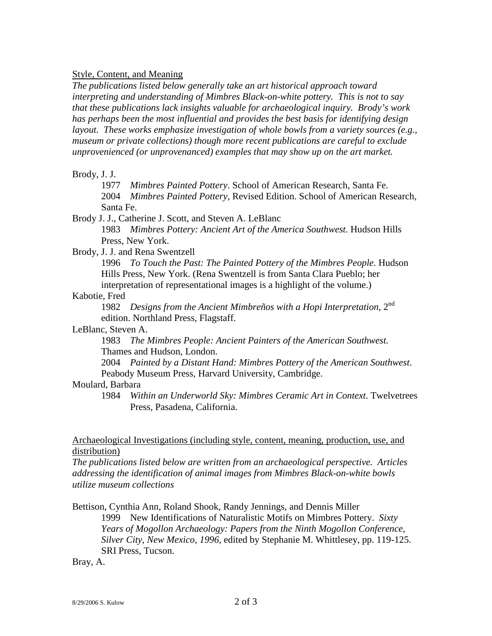### Style, Content, and Meaning

*The publications listed below generally take an art historical approach toward interpreting and understanding of Mimbres Black-on-white pottery. This is not to say that these publications lack insights valuable for archaeological inquiry. Brody's work has perhaps been the most influential and provides the best basis for identifying design layout. These works emphasize investigation of whole bowls from a variety sources (e.g., museum or private collections) though more recent publications are careful to exclude unprovenienced (or unprovenanced) examples that may show up on the art market.* 

### Brody, J. J.

1977 *Mimbres Painted Pottery*. School of American Research, Santa Fe.

2004 *Mimbres Painted Pottery,* Revised Edition. School of American Research, Santa Fe.

Brody J. J., Catherine J. Scott, and Steven A. LeBlanc

1983 *Mimbres Pottery: Ancient Art of the America Southwest*. Hudson Hills Press, New York.

### Brody, J. J. and Rena Swentzell

1996 *To Touch the Past: The Painted Pottery of the Mimbres People*. Hudson Hills Press, New York. (Rena Swentzell is from Santa Clara Pueblo; her interpretation of representational images is a highlight of the volume.)

# Kabotie, Fred

1982 *Designs from the Ancient Mimbreños with a Hopi Interpretation*, 2nd edition. Northland Press, Flagstaff.

LeBlanc, Steven A.

1983 *The Mimbres People: Ancient Painters of the American Southwest.* Thames and Hudson, London.

2004 *Painted by a Distant Hand: Mimbres Pottery of the American Southwest*. Peabody Museum Press, Harvard University, Cambridge.

# Moulard, Barbara

1984 *Within an Underworld Sky: Mimbres Ceramic Art in Context*. Twelvetrees Press, Pasadena, California.

## Archaeological Investigations (including style, content, meaning, production, use, and distribution)

*The publications listed below are written from an archaeological perspective. Articles addressing the identification of animal images from Mimbres Black-on-white bowls utilize museum collections* 

Bettison, Cynthia Ann, Roland Shook, Randy Jennings, and Dennis Miller

1999 New Identifications of Naturalistic Motifs on Mimbres Pottery. *Sixty Years of Mogollon Archaeology: Papers from the Ninth Mogollon Conference, Silver City, New Mexico, 1996*, edited by Stephanie M. Whittlesey, pp. 119-125. SRI Press, Tucson.

Bray, A.